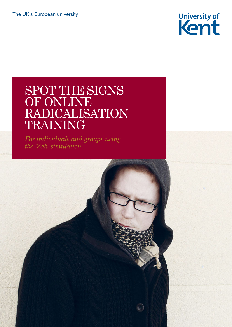

# SPOT THE SIGNS OF ONLINE RADICALISATION TRAINING

*For individuals and groups using the 'Zak' simulation*

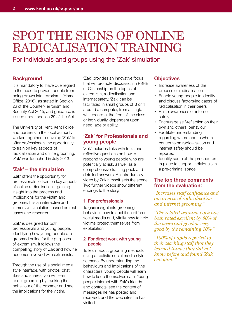# SPOT THE SIGNS OF ONLINE RADICALISATION TRAINING

For individuals and groups using the 'Zak' simulation

# **Background**

It is mandatory to 'have due regard to the need to prevent people from being drawn into terrorism.' (Home Office, 2016), as stated in Section 26 of the Counter-Terrorism and Security Act 2015, and guidance is issued under section 29 of the Act.

The University of Kent, Kent Police, and partners in the local authority worked together to develop 'Zak' to offer professionals the opportunity to train on key aspects of radicalisation and online grooming. 'Zak' was launched in July 2013.

# **'Zak' – the simulation**

'Zak' offers the opportunity for professionals to train on key aspects of online radicalisation – gaining insight into the process and implications for the victim and groomer. It is an interactive and immersive simulation, based on real cases and research.

'Zak' is designed for both professionals and young people, identifying how young people are groomed online for the purposes of extremism. It follows the compelling story of Zak and how he becomes involved with extremists.

Through the use of a social media style interface, with photos, chat, likes and shares, you will learn about grooming by tracking the behaviour of the groomer and see the implications for the victim.

'Zak' provides an innovative focus that will promote discussion in PSHE or Citizenship on the topics of extremism, radicalisation and internet safety. 'Zak' can be facilitated in small groups of 3 or 4 around a computer, from a single whiteboard at the front of the class or individually, dependent upon need, age or ability.

# **'Zak' for Professionals and young people**

'Zak' includes links with tools and reflective questions on how to respond to young people who are potentially at risk, as well as a comprehensive training pack and detailed answers. An introductory video by Zak himself sets the scene. Two further videos show different endings to the story.

#### **1 For professionals**

To gain insight into grooming behaviour, how to spot it on different social media and, vitally, how to help victims protect themselves from exploitation.

#### **2 For direct work with young people**

To learn about grooming methods using a realistic social media-style scenario. By understanding the behaviours and implications of the characters, young people will learn how to keep themselves safe. Young people interact with Zak's friends and contacts, see the content of messages he has posted and received, and the web sites he has visited.

# **Objectives**

- Increase awareness of the process of radicalisation
- Enable young people to identify and discuss factors/indicators of radicalisation in their peers
- Raise awareness of internet safety
- Encourage self-reflection on their own and others' behaviour
- Facilitate understanding regarding where and to whom concerns on radicalisation and internet safety should be reported
- Identify some of the procedures in place to support individuals in a pre-criminal space.

## **The top three comments from the evaluation:**

*"Increases staff confidence and awareness of radicalisation and internet grooming."*

*"The related training pack has been rated excellent by 90% of the users and good or very good by the remaining 10%."*

*"100% of pupils reported to their teaching staff that they learned things they did not know before and found 'Zak' engaging."*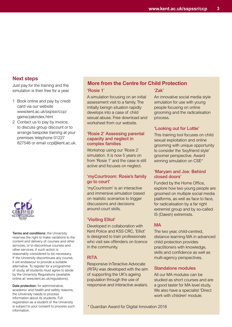## **Next steps**

Just pay for the training and the simulation is then free for a year.

- 1 Book online and pay by credit card via our website www.kent.ac.uk/sspssr/ccp/ game/zakindex.html
- 2 Contact us to pay by invoice, to discuss group discount or to arrange bespoke training at your premises telephone 01227 827546 or email ccp@kent.ac.uk.



**Terms and conditions:** the University reserves the right to make variations to the content and delivery of courses and other services, or to discontinue courses and other services, if such action is reasonably considered to be necessary. If the University discontinues any course, it will endeavour to provide a suitable alternative. To register for a programme of study, all students must agree to abide by the University Regulations (available online at: www.kent.ac.uk/regulations).

**Data protection:** for administrative, academic and health and safety reasons, the University needs to process information about its students. Full registration as a student of the University is subject to your consent to process such information.

# **More from the Centre for Child Protection**

#### **'Rosie 1'**

A simulation focusing on an initial assessment visit to a family. The initially benign situation rapidly develops into a case of child sexual abuse. Free download and worksheet from our website.

#### **'Rosie 2' Assessing parental capacity and neglect in complex families**

Workshop using our 'Rosie 2' simulation. It is now 5 years on from 'Rosie 1' and the case is still active and focuses on neglect.

#### **'myCourtroom: Rosie's family go to court'**

'myCourtroom' is an interactive and immersive simulation based on realistic scenarios to trigger discussions and decisions around court skills.

#### **'Visiting Elliot'**

Developed in collaboration with Kent Police and KSS CRC, 'Elliot' is designed to train professionals who visit sex offenders on licence in the community.

#### **RITA**

Responsive InTeractive Advocate (RITA) was developed with the aim of supporting the UK's ageing population through the use of responsive and interactive avatars.

\* Guardian Award for Digital Innovation 2016

#### **'Zak'**

An innovative social media style simulation for use with young people focusing on online grooming and the radicalisation process.

#### **'Looking out for Lottie'**

This training tool focuses on child sexual exploitation and online grooming with unique opportunity to consider the 'boyfriend style' groomer perspective. Award winning simulation on CSE\*

#### **'Maryam and Joe: Behind closed doors'**

Funded by the Home Office, explore how two young people are groomed on multiple social media platforms, as well as face to face, for radicalisation by a far right extremist group and by so-called IS (Daesh) extremists.

## **MA**

The two year, child-centred, distance learning MA in advanced child protection provides practitioners with knowledge, skills and confidence as well as multi-agency perspectives.

#### **Standalone modules**

All our MA modules can be studied as short courses and are a good taster for MA level study. We also have a specialist 'Direct work with children' module.